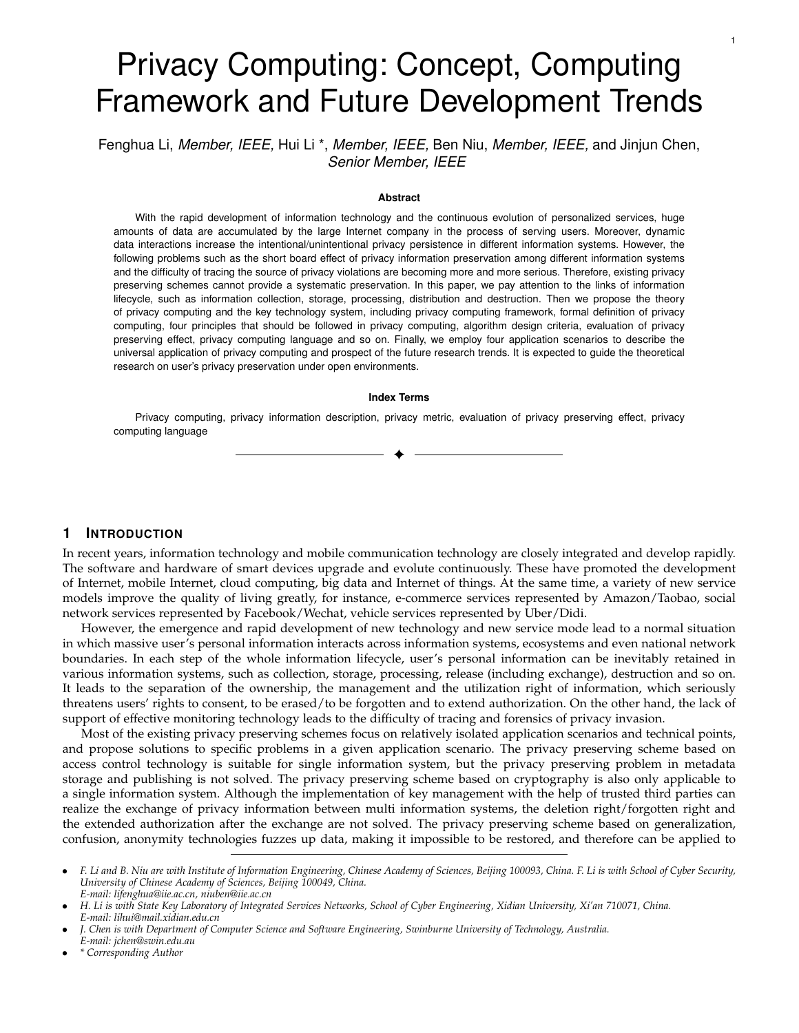# Privacy Computing: Concept, Computing Framework and Future Development Trends

Fenghua Li, *Member, IEEE,* Hui Li \*, *Member, IEEE,* Ben Niu, *Member, IEEE,* and Jinjun Chen, *Senior Member, IEEE*

#### **Abstract**

With the rapid development of information technology and the continuous evolution of personalized services, huge amounts of data are accumulated by the large Internet company in the process of serving users. Moreover, dynamic data interactions increase the intentional/unintentional privacy persistence in different information systems. However, the following problems such as the short board effect of privacy information preservation among different information systems and the difficulty of tracing the source of privacy violations are becoming more and more serious. Therefore, existing privacy preserving schemes cannot provide a systematic preservation. In this paper, we pay attention to the links of information lifecycle, such as information collection, storage, processing, distribution and destruction. Then we propose the theory of privacy computing and the key technology system, including privacy computing framework, formal definition of privacy computing, four principles that should be followed in privacy computing, algorithm design criteria, evaluation of privacy preserving effect, privacy computing language and so on. Finally, we employ four application scenarios to describe the universal application of privacy computing and prospect of the future research trends. It is expected to guide the theoretical research on user's privacy preservation under open environments.

#### **Index Terms**

Privacy computing, privacy information description, privacy metric, evaluation of privacy preserving effect, privacy computing language

✦

## **1 INTRODUCTION**

In recent years, information technology and mobile communication technology are closely integrated and develop rapidly. The software and hardware of smart devices upgrade and evolute continuously. These have promoted the development of Internet, mobile Internet, cloud computing, big data and Internet of things. At the same time, a variety of new service models improve the quality of living greatly, for instance, e-commerce services represented by Amazon/Taobao, social network services represented by Facebook/Wechat, vehicle services represented by Uber/Didi.

However, the emergence and rapid development of new technology and new service mode lead to a normal situation in which massive user's personal information interacts across information systems, ecosystems and even national network boundaries. In each step of the whole information lifecycle, user's personal information can be inevitably retained in various information systems, such as collection, storage, processing, release (including exchange), destruction and so on. It leads to the separation of the ownership, the management and the utilization right of information, which seriously threatens users' rights to consent, to be erased/to be forgotten and to extend authorization. On the other hand, the lack of support of effective monitoring technology leads to the difficulty of tracing and forensics of privacy invasion.

Most of the existing privacy preserving schemes focus on relatively isolated application scenarios and technical points, and propose solutions to specific problems in a given application scenario. The privacy preserving scheme based on access control technology is suitable for single information system, but the privacy preserving problem in metadata storage and publishing is not solved. The privacy preserving scheme based on cryptography is also only applicable to a single information system. Although the implementation of key management with the help of trusted third parties can realize the exchange of privacy information between multi information systems, the deletion right/forgotten right and the extended authorization after the exchange are not solved. The privacy preserving scheme based on generalization, confusion, anonymity technologies fuzzes up data, making it impossible to be restored, and therefore can be applied to

*E-mail: jchen@swin.edu.au*

• *\* Corresponding Author*

<sup>•</sup> *F. Li and B. Niu are with Institute of Information Engineering, Chinese Academy of Sciences, Beijing 100093, China. F. Li is with School of Cyber Security, University of Chinese Academy of Sciences, Beijing 100049, China. E-mail: lifenghua@iie.ac.cn, niuben@iie.ac.cn*

<sup>•</sup> *H. Li is with State Key Laboratory of Integrated Services Networks, School of Cyber Engineering, Xidian University, Xi'an 710071, China. E-mail: lihui@mail.xidian.edu.cn*

<sup>•</sup> *J. Chen is with Department of Computer Science and Software Engineering, Swinburne University of Technology, Australia.*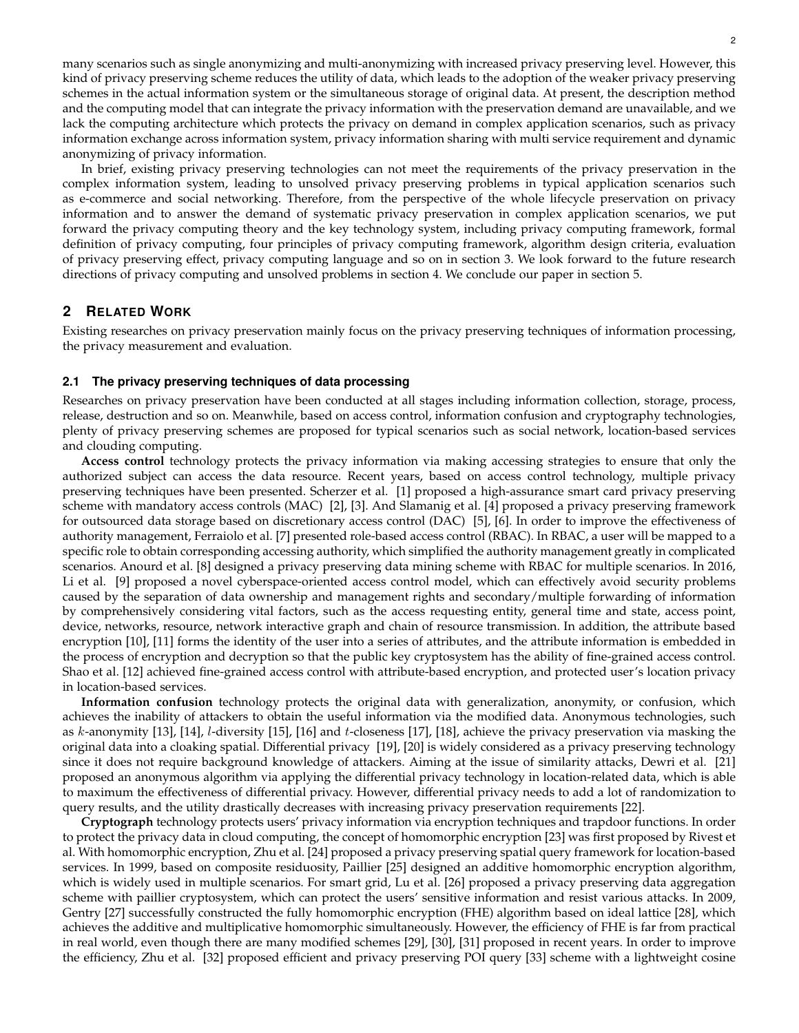many scenarios such as single anonymizing and multi-anonymizing with increased privacy preserving level. However, this kind of privacy preserving scheme reduces the utility of data, which leads to the adoption of the weaker privacy preserving schemes in the actual information system or the simultaneous storage of original data. At present, the description method and the computing model that can integrate the privacy information with the preservation demand are unavailable, and we lack the computing architecture which protects the privacy on demand in complex application scenarios, such as privacy information exchange across information system, privacy information sharing with multi service requirement and dynamic anonymizing of privacy information.

In brief, existing privacy preserving technologies can not meet the requirements of the privacy preservation in the complex information system, leading to unsolved privacy preserving problems in typical application scenarios such as e-commerce and social networking. Therefore, from the perspective of the whole lifecycle preservation on privacy information and to answer the demand of systematic privacy preservation in complex application scenarios, we put forward the privacy computing theory and the key technology system, including privacy computing framework, formal definition of privacy computing, four principles of privacy computing framework, algorithm design criteria, evaluation of privacy preserving effect, privacy computing language and so on in section 3. We look forward to the future research directions of privacy computing and unsolved problems in section 4. We conclude our paper in section 5.

# **2 RELATED WORK**

Existing researches on privacy preservation mainly focus on the privacy preserving techniques of information processing, the privacy measurement and evaluation.

### **2.1 The privacy preserving techniques of data processing**

Researches on privacy preservation have been conducted at all stages including information collection, storage, process, release, destruction and so on. Meanwhile, based on access control, information confusion and cryptography technologies, plenty of privacy preserving schemes are proposed for typical scenarios such as social network, location-based services and clouding computing.

**Access control** technology protects the privacy information via making accessing strategies to ensure that only the authorized subject can access the data resource. Recent years, based on access control technology, multiple privacy preserving techniques have been presented. Scherzer et al. [1] proposed a high-assurance smart card privacy preserving scheme with mandatory access controls (MAC) [2], [3]. And Slamanig et al. [4] proposed a privacy preserving framework for outsourced data storage based on discretionary access control (DAC) [5], [6]. In order to improve the effectiveness of authority management, Ferraiolo et al. [7] presented role-based access control (RBAC). In RBAC, a user will be mapped to a specific role to obtain corresponding accessing authority, which simplified the authority management greatly in complicated scenarios. Anourd et al. [8] designed a privacy preserving data mining scheme with RBAC for multiple scenarios. In 2016, Li et al. [9] proposed a novel cyberspace-oriented access control model, which can effectively avoid security problems caused by the separation of data ownership and management rights and secondary/multiple forwarding of information by comprehensively considering vital factors, such as the access requesting entity, general time and state, access point, device, networks, resource, network interactive graph and chain of resource transmission. In addition, the attribute based encryption [10], [11] forms the identity of the user into a series of attributes, and the attribute information is embedded in the process of encryption and decryption so that the public key cryptosystem has the ability of fine-grained access control. Shao et al. [12] achieved fine-grained access control with attribute-based encryption, and protected user's location privacy in location-based services.

**Information confusion** technology protects the original data with generalization, anonymity, or confusion, which achieves the inability of attackers to obtain the useful information via the modified data. Anonymous technologies, such as k-anonymity [13], [14], l-diversity [15], [16] and t-closeness [17], [18], achieve the privacy preservation via masking the original data into a cloaking spatial. Differential privacy [19], [20] is widely considered as a privacy preserving technology since it does not require background knowledge of attackers. Aiming at the issue of similarity attacks, Dewri et al. [21] proposed an anonymous algorithm via applying the differential privacy technology in location-related data, which is able to maximum the effectiveness of differential privacy. However, differential privacy needs to add a lot of randomization to query results, and the utility drastically decreases with increasing privacy preservation requirements [22].

**Cryptograph** technology protects users' privacy information via encryption techniques and trapdoor functions. In order to protect the privacy data in cloud computing, the concept of homomorphic encryption [23] was first proposed by Rivest et al. With homomorphic encryption, Zhu et al. [24] proposed a privacy preserving spatial query framework for location-based services. In 1999, based on composite residuosity, Paillier [25] designed an additive homomorphic encryption algorithm, which is widely used in multiple scenarios. For smart grid, Lu et al. [26] proposed a privacy preserving data aggregation scheme with paillier cryptosystem, which can protect the users' sensitive information and resist various attacks. In 2009, Gentry [27] successfully constructed the fully homomorphic encryption (FHE) algorithm based on ideal lattice [28], which achieves the additive and multiplicative homomorphic simultaneously. However, the efficiency of FHE is far from practical in real world, even though there are many modified schemes [29], [30], [31] proposed in recent years. In order to improve the efficiency, Zhu et al. [32] proposed efficient and privacy preserving POI query [33] scheme with a lightweight cosine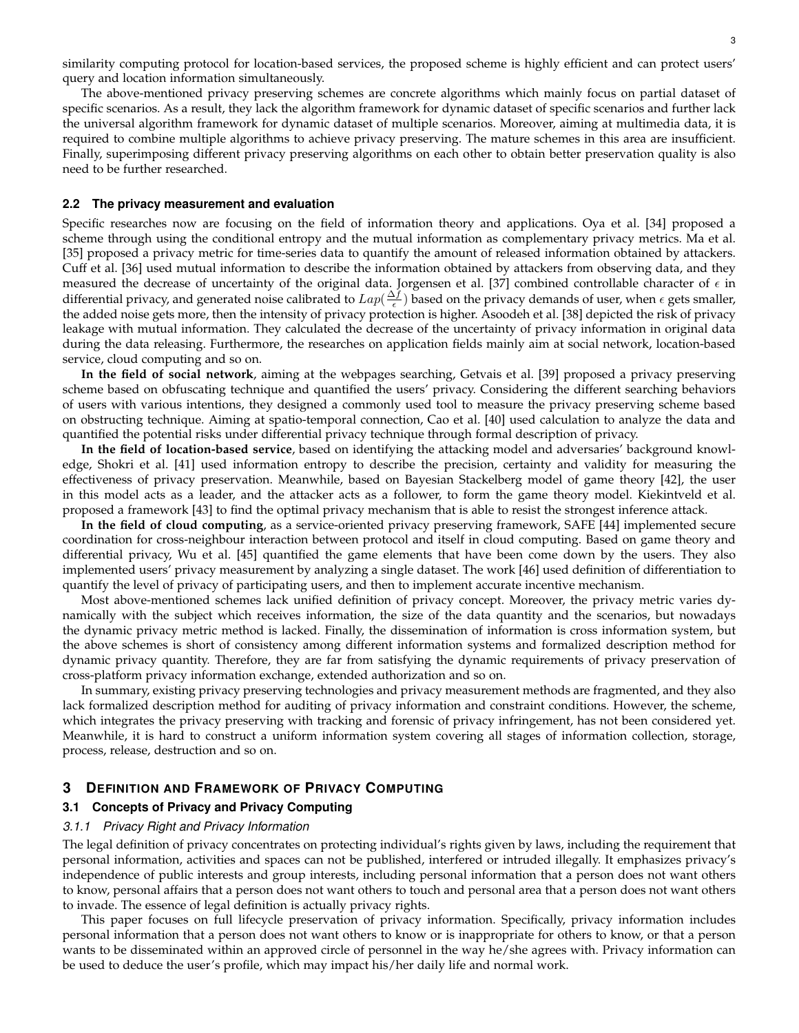similarity computing protocol for location-based services, the proposed scheme is highly efficient and can protect users' query and location information simultaneously.

The above-mentioned privacy preserving schemes are concrete algorithms which mainly focus on partial dataset of specific scenarios. As a result, they lack the algorithm framework for dynamic dataset of specific scenarios and further lack the universal algorithm framework for dynamic dataset of multiple scenarios. Moreover, aiming at multimedia data, it is required to combine multiple algorithms to achieve privacy preserving. The mature schemes in this area are insufficient. Finally, superimposing different privacy preserving algorithms on each other to obtain better preservation quality is also need to be further researched.

#### **2.2 The privacy measurement and evaluation**

Specific researches now are focusing on the field of information theory and applications. Oya et al. [34] proposed a scheme through using the conditional entropy and the mutual information as complementary privacy metrics. Ma et al. [35] proposed a privacy metric for time-series data to quantify the amount of released information obtained by attackers. Cuff et al. [36] used mutual information to describe the information obtained by attackers from observing data, and they measured the decrease of uncertainty of the original data. Jorgensen et al. [37] combined controllable character of  $\epsilon$  in differential privacy, and generated noise calibrated to  $Lap(\frac{\Delta f}{\epsilon})$  based on the privacy demands of user, when  $\epsilon$  gets smaller, the added noise gets more, then the intensity of privacy protection is higher. Asoodeh et al. [38] depicted the risk of privacy leakage with mutual information. They calculated the decrease of the uncertainty of privacy information in original data during the data releasing. Furthermore, the researches on application fields mainly aim at social network, location-based service, cloud computing and so on.

**In the field of social network**, aiming at the webpages searching, Getvais et al. [39] proposed a privacy preserving scheme based on obfuscating technique and quantified the users' privacy. Considering the different searching behaviors of users with various intentions, they designed a commonly used tool to measure the privacy preserving scheme based on obstructing technique. Aiming at spatio-temporal connection, Cao et al. [40] used calculation to analyze the data and quantified the potential risks under differential privacy technique through formal description of privacy.

**In the field of location-based service**, based on identifying the attacking model and adversaries' background knowledge, Shokri et al. [41] used information entropy to describe the precision, certainty and validity for measuring the effectiveness of privacy preservation. Meanwhile, based on Bayesian Stackelberg model of game theory [42], the user in this model acts as a leader, and the attacker acts as a follower, to form the game theory model. Kiekintveld et al. proposed a framework [43] to find the optimal privacy mechanism that is able to resist the strongest inference attack.

**In the field of cloud computing**, as a service-oriented privacy preserving framework, SAFE [44] implemented secure coordination for cross-neighbour interaction between protocol and itself in cloud computing. Based on game theory and differential privacy, Wu et al. [45] quantified the game elements that have been come down by the users. They also implemented users' privacy measurement by analyzing a single dataset. The work [46] used definition of differentiation to quantify the level of privacy of participating users, and then to implement accurate incentive mechanism.

Most above-mentioned schemes lack unified definition of privacy concept. Moreover, the privacy metric varies dynamically with the subject which receives information, the size of the data quantity and the scenarios, but nowadays the dynamic privacy metric method is lacked. Finally, the dissemination of information is cross information system, but the above schemes is short of consistency among different information systems and formalized description method for dynamic privacy quantity. Therefore, they are far from satisfying the dynamic requirements of privacy preservation of cross-platform privacy information exchange, extended authorization and so on.

In summary, existing privacy preserving technologies and privacy measurement methods are fragmented, and they also lack formalized description method for auditing of privacy information and constraint conditions. However, the scheme, which integrates the privacy preserving with tracking and forensic of privacy infringement, has not been considered yet. Meanwhile, it is hard to construct a uniform information system covering all stages of information collection, storage, process, release, destruction and so on.

## **3 DEFINITION AND FRAMEWORK OF PRIVACY COMPUTING**

#### **3.1 Concepts of Privacy and Privacy Computing**

#### *3.1.1 Privacy Right and Privacy Information*

The legal definition of privacy concentrates on protecting individual's rights given by laws, including the requirement that personal information, activities and spaces can not be published, interfered or intruded illegally. It emphasizes privacy's independence of public interests and group interests, including personal information that a person does not want others to know, personal affairs that a person does not want others to touch and personal area that a person does not want others to invade. The essence of legal definition is actually privacy rights.

This paper focuses on full lifecycle preservation of privacy information. Specifically, privacy information includes personal information that a person does not want others to know or is inappropriate for others to know, or that a person wants to be disseminated within an approved circle of personnel in the way he/she agrees with. Privacy information can be used to deduce the user's profile, which may impact his/her daily life and normal work.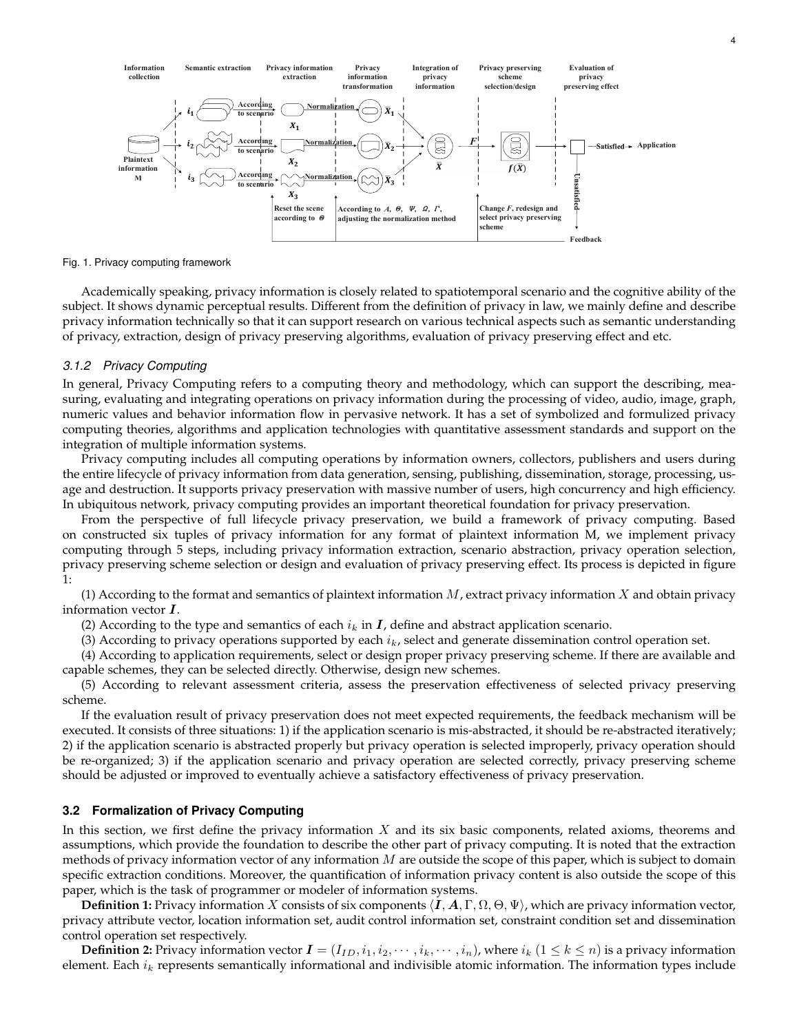

Fig. 1. Privacy computing framework

Academically speaking, privacy information is closely related to spatiotemporal scenario and the cognitive ability of the subject. It shows dynamic perceptual results. Different from the definition of privacy in law, we mainly define and describe privacy information technically so that it can support research on various technical aspects such as semantic understanding of privacy, extraction, design of privacy preserving algorithms, evaluation of privacy preserving effect and etc.

## *3.1.2 Privacy Computing*

In general, Privacy Computing refers to a computing theory and methodology, which can support the describing, measuring, evaluating and integrating operations on privacy information during the processing of video, audio, image, graph, numeric values and behavior information flow in pervasive network. It has a set of symbolized and formulized privacy computing theories, algorithms and application technologies with quantitative assessment standards and support on the integration of multiple information systems.

Privacy computing includes all computing operations by information owners, collectors, publishers and users during the entire lifecycle of privacy information from data generation, sensing, publishing, dissemination, storage, processing, usage and destruction. It supports privacy preservation with massive number of users, high concurrency and high efficiency. In ubiquitous network, privacy computing provides an important theoretical foundation for privacy preservation.

From the perspective of full lifecycle privacy preservation, we build a framework of privacy computing. Based on constructed six tuples of privacy information for any format of plaintext information M, we implement privacy computing through 5 steps, including privacy information extraction, scenario abstraction, privacy operation selection, privacy preserving scheme selection or design and evaluation of privacy preserving effect. Its process is depicted in figure 1:

(1) According to the format and semantics of plaintext information  $M$ , extract privacy information  $X$  and obtain privacy information vector I.

(2) According to the type and semantics of each  $i_k$  in  $\bm{I}$ , define and abstract application scenario.

(3) According to privacy operations supported by each  $i_k$ , select and generate dissemination control operation set.

(4) According to application requirements, select or design proper privacy preserving scheme. If there are available and capable schemes, they can be selected directly. Otherwise, design new schemes.

(5) According to relevant assessment criteria, assess the preservation effectiveness of selected privacy preserving scheme.

If the evaluation result of privacy preservation does not meet expected requirements, the feedback mechanism will be executed. It consists of three situations: 1) if the application scenario is mis-abstracted, it should be re-abstracted iteratively; 2) if the application scenario is abstracted properly but privacy operation is selected improperly, privacy operation should be re-organized; 3) if the application scenario and privacy operation are selected correctly, privacy preserving scheme should be adjusted or improved to eventually achieve a satisfactory effectiveness of privacy preservation.

## **3.2 Formalization of Privacy Computing**

In this section, we first define the privacy information  $X$  and its six basic components, related axioms, theorems and assumptions, which provide the foundation to describe the other part of privacy computing. It is noted that the extraction methods of privacy information vector of any information  $M$  are outside the scope of this paper, which is subject to domain specific extraction conditions. Moreover, the quantification of information privacy content is also outside the scope of this paper, which is the task of programmer or modeler of information systems.

**Definition 1:** Privacy information X consists of six components  $\langle I, A, \Gamma, \Omega, \Theta, \Psi \rangle$ , which are privacy information vector, privacy attribute vector, location information set, audit control information set, constraint condition set and dissemination control operation set respectively.

**Definition 2:** Privacy information vector  $\bm{I} = (I_{ID}, i_1, i_2, \dots, i_k, \dots, i_n)$ , where  $i_k$   $(1 \leq k \leq n)$  is a privacy information element. Each  $i_k$  represents semantically informational and indivisible atomic information. The information types include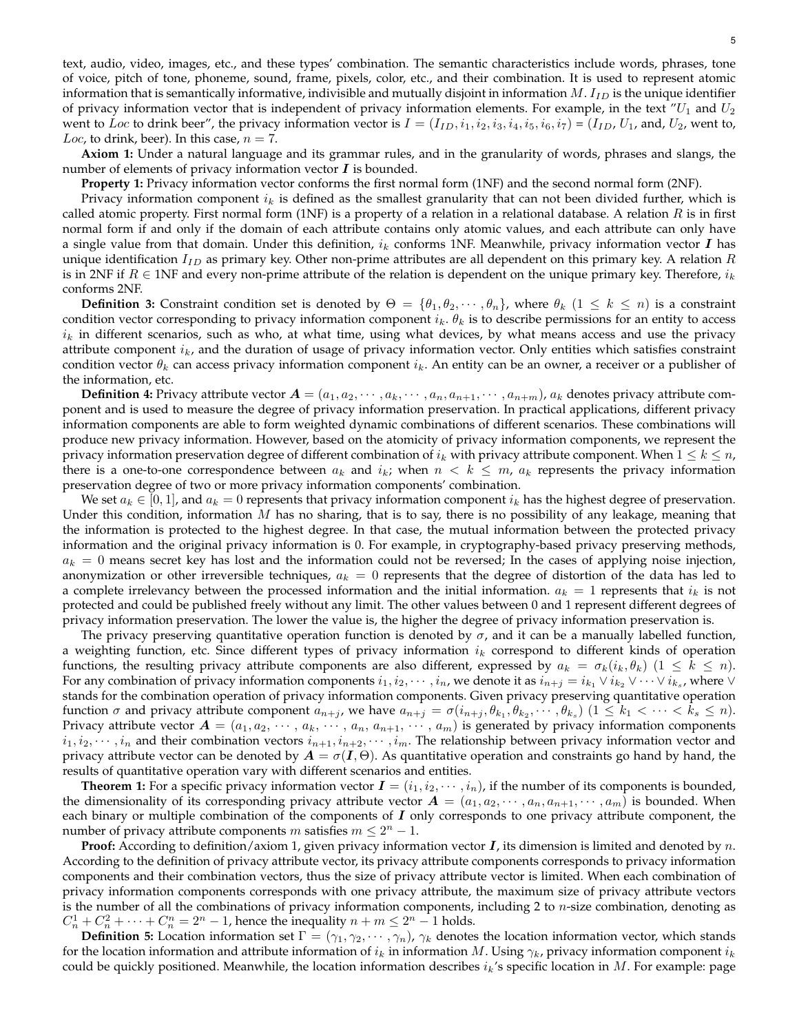text, audio, video, images, etc., and these types' combination. The semantic characteristics include words, phrases, tone of voice, pitch of tone, phoneme, sound, frame, pixels, color, etc., and their combination. It is used to represent atomic information that is semantically informative, indivisible and mutually disjoint in information  $M$ .  $I_{ID}$  is the unique identifier of privacy information vector that is independent of privacy information elements. For example, in the text  $U_1$  and  $U_2$ went to Loc to drink beer", the privacy information vector is  $I = (I_{ID}, i_1, i_2, i_3, i_4, i_5, i_6, i_7) = (I_{ID}, U_1, \text{ and}, U_2, \text{ went to},$ Loc, to drink, beer). In this case,  $n = 7$ .

**Axiom 1:** Under a natural language and its grammar rules, and in the granularity of words, phrases and slangs, the number of elements of privacy information vector  $\boldsymbol{I}$  is bounded.

**Property 1:** Privacy information vector conforms the first normal form (1NF) and the second normal form (2NF).

Privacy information component  $i_k$  is defined as the smallest granularity that can not been divided further, which is called atomic property. First normal form (1NF) is a property of a relation in a relational database. A relation  $R$  is in first normal form if and only if the domain of each attribute contains only atomic values, and each attribute can only have a single value from that domain. Under this definition,  $i_k$  conforms 1NF. Meanwhile, privacy information vector  $I$  has unique identification  $I_{ID}$  as primary key. Other non-prime attributes are all dependent on this primary key. A relation  $R$ is in 2NF if  $R \in 1$ NF and every non-prime attribute of the relation is dependent on the unique primary key. Therefore,  $i_k$ conforms 2NF.

**Definition 3:** Constraint condition set is denoted by  $\Theta = \{\theta_1, \theta_2, \dots, \theta_n\}$ , where  $\theta_k$   $(1 \leq k \leq n)$  is a constraint condition vector corresponding to privacy information component  $i_k$ .  $\theta_k$  is to describe permissions for an entity to access  $i_k$  in different scenarios, such as who, at what time, using what devices, by what means access and use the privacy attribute component  $i_k$ , and the duration of usage of privacy information vector. Only entities which satisfies constraint condition vector  $\theta_k$  can access privacy information component  $i_k$ . An entity can be an owner, a receiver or a publisher of the information, etc.

**Definition 4:** Privacy attribute vector  $A = (a_1, a_2, \dots, a_k, \dots, a_n, a_{n+1}, \dots, a_{n+m})$ ,  $a_k$  denotes privacy attribute component and is used to measure the degree of privacy information preservation. In practical applications, different privacy information components are able to form weighted dynamic combinations of different scenarios. These combinations will produce new privacy information. However, based on the atomicity of privacy information components, we represent the privacy information preservation degree of different combination of  $i_k$  with privacy attribute component. When  $1 \leq k \leq n$ , there is a one-to-one correspondence between  $a_k$  and  $i_k$ ; when  $n < k \leq m$ ,  $a_k$  represents the privacy information preservation degree of two or more privacy information components' combination.

We set  $a_k \in [0,1]$ , and  $a_k = 0$  represents that privacy information component  $i_k$  has the highest degree of preservation. Under this condition, information  $M$  has no sharing, that is to say, there is no possibility of any leakage, meaning that the information is protected to the highest degree. In that case, the mutual information between the protected privacy information and the original privacy information is 0. For example, in cryptography-based privacy preserving methods,  $a_k = 0$  means secret key has lost and the information could not be reversed; In the cases of applying noise injection, anonymization or other irreversible techniques,  $a_k = 0$  represents that the degree of distortion of the data has led to a complete irrelevancy between the processed information and the initial information.  $a_k = 1$  represents that  $i_k$  is not protected and could be published freely without any limit. The other values between 0 and 1 represent different degrees of privacy information preservation. The lower the value is, the higher the degree of privacy information preservation is.

The privacy preserving quantitative operation function is denoted by  $\sigma$ , and it can be a manually labelled function, a weighting function, etc. Since different types of privacy information  $i_k$  correspond to different kinds of operation functions, the resulting privacy attribute components are also different, expressed by  $a_k = \sigma_k(i_k, \theta_k)$   $(1 \leq k \leq n)$ . For any combination of privacy information components  $i_1, i_2, \cdots, i_n$ , we denote it as  $i_{n+j} = i_{k_1} \vee i_{k_2} \vee \cdots \vee i_{k_s}$ , where  $\vee$ stands for the combination operation of privacy information components. Given privacy preserving quantitative operation function  $\sigma$  and privacy attribute component  $a_{n+j}$ , we have  $a_{n+j} = \sigma(i_{n+j}, \theta_{k_1}, \theta_{k_2}, \cdots, \theta_{k_s})$   $(1 \leq k_1 < \cdots < k_s \leq n)$ . Privacy attribute vector  $A = (a_1, a_2, \dots, a_k, \dots, a_n, a_{n+1}, \dots, a_m)$  is generated by privacy information components  $i_1, i_2, \dots, i_n$  and their combination vectors  $i_{n+1}, i_{n+2}, \dots, i_m$ . The relationship between privacy information vector and privacy attribute vector can be denoted by  $A = \sigma(I, \Theta)$ . As quantitative operation and constraints go hand by hand, the results of quantitative operation vary with different scenarios and entities.

**Theorem 1:** For a specific privacy information vector  $\mathbf{I} = (i_1, i_2, \dots, i_n)$ , if the number of its components is bounded, the dimensionality of its corresponding privacy attribute vector  $A = (a_1, a_2, \dots, a_n, a_{n+1}, \dots, a_m)$  is bounded. When each binary or multiple combination of the components of  $I$  only corresponds to one privacy attribute component, the number of privacy attribute components m satisfies  $m \leq 2^n - 1$ .

**Proof:** According to definition/axiom 1, given privacy information vector **I**, its dimension is limited and denoted by n. According to the definition of privacy attribute vector, its privacy attribute components corresponds to privacy information components and their combination vectors, thus the size of privacy attribute vector is limited. When each combination of privacy information components corresponds with one privacy attribute, the maximum size of privacy attribute vectors is the number of all the combinations of privacy information components, including 2 to n-size combination, denoting as  $C_n^1 + C_n^2 + \cdots + C_n^n = 2^n - 1$ , hence the inequality  $n + m \le 2^n - 1$  holds.

**Definition 5:** Location information set  $\Gamma = (\gamma_1, \gamma_2, \cdots, \gamma_n)$ ,  $\gamma_k$  denotes the location information vector, which stands for the location information and attribute information of  $i_k$  in information M. Using  $\gamma_k$ , privacy information component  $i_k$ could be quickly positioned. Meanwhile, the location information describes  $i_k$ 's specific location in M. For example: page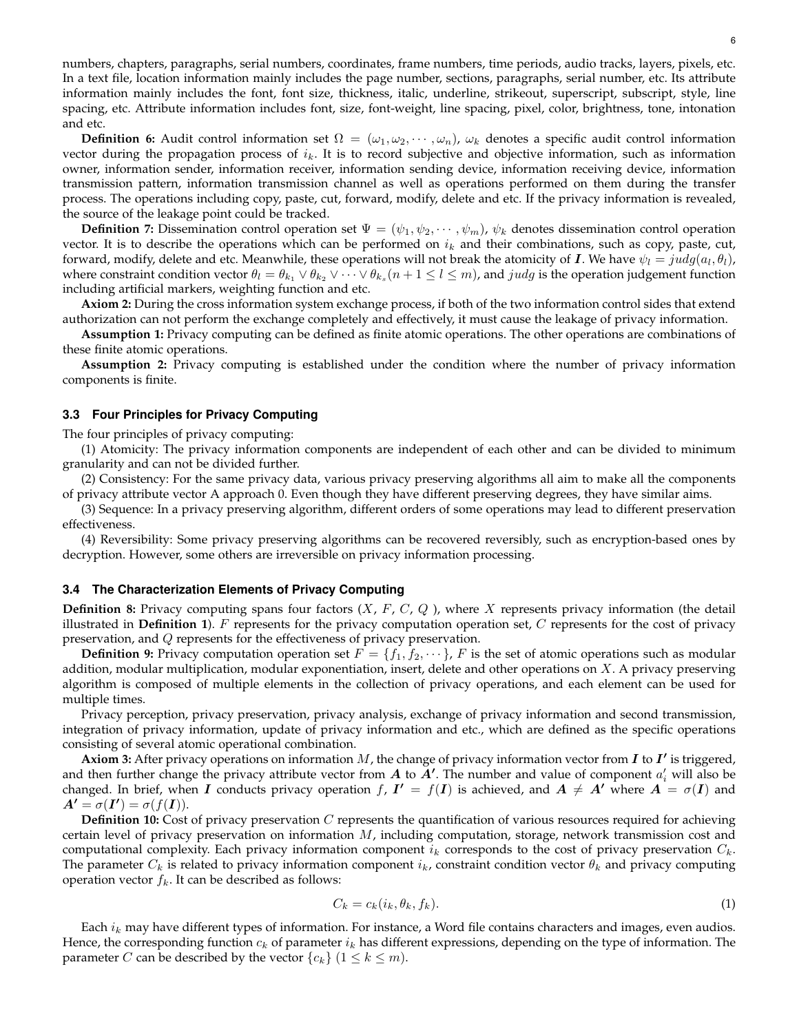numbers, chapters, paragraphs, serial numbers, coordinates, frame numbers, time periods, audio tracks, layers, pixels, etc. In a text file, location information mainly includes the page number, sections, paragraphs, serial number, etc. Its attribute information mainly includes the font, font size, thickness, italic, underline, strikeout, superscript, subscript, style, line spacing, etc. Attribute information includes font, size, font-weight, line spacing, pixel, color, brightness, tone, intonation and etc.

**Definition 6:** Audit control information set  $\Omega = (\omega_1, \omega_2, \cdots, \omega_n)$ ,  $\omega_k$  denotes a specific audit control information vector during the propagation process of  $i_k$ . It is to record subjective and objective information, such as information owner, information sender, information receiver, information sending device, information receiving device, information transmission pattern, information transmission channel as well as operations performed on them during the transfer process. The operations including copy, paste, cut, forward, modify, delete and etc. If the privacy information is revealed, the source of the leakage point could be tracked.

**Definition 7:** Dissemination control operation set  $\Psi = (\psi_1, \psi_2, \dots, \psi_m)$ ,  $\psi_k$  denotes dissemination control operation vector. It is to describe the operations which can be performed on  $i_k$  and their combinations, such as copy, paste, cut, forward, modify, delete and etc. Meanwhile, these operations will not break the atomicity of  $\bm{I}.$  We have  $\psi_l=judg(a_l,\theta_l)$ , where constraint condition vector  $\theta_l = \theta_{k_1} \vee \theta_{k_2} \vee \cdots \vee \theta_{k_s} (n+1\leq l\leq m)$ , and  $judg$  is the operation judgement function including artificial markers, weighting function and etc.

**Axiom 2:** During the cross information system exchange process, if both of the two information control sides that extend authorization can not perform the exchange completely and effectively, it must cause the leakage of privacy information.

**Assumption 1:** Privacy computing can be defined as finite atomic operations. The other operations are combinations of these finite atomic operations.

**Assumption 2:** Privacy computing is established under the condition where the number of privacy information components is finite.

### **3.3 Four Principles for Privacy Computing**

The four principles of privacy computing:

(1) Atomicity: The privacy information components are independent of each other and can be divided to minimum granularity and can not be divided further.

(2) Consistency: For the same privacy data, various privacy preserving algorithms all aim to make all the components of privacy attribute vector A approach 0. Even though they have different preserving degrees, they have similar aims.

(3) Sequence: In a privacy preserving algorithm, different orders of some operations may lead to different preservation effectiveness.

(4) Reversibility: Some privacy preserving algorithms can be recovered reversibly, such as encryption-based ones by decryption. However, some others are irreversible on privacy information processing.

#### **3.4 The Characterization Elements of Privacy Computing**

**Definition 8:** Privacy computing spans four factors  $(X, F, C, Q)$ , where X represents privacy information (the detail illustrated in **Definition 1**). F represents for the privacy computation operation set, C represents for the cost of privacy preservation, and Q represents for the effectiveness of privacy preservation.

**Definition 9:** Privacy computation operation set  $F = \{f_1, f_2, \dots\}$ , F is the set of atomic operations such as modular addition, modular multiplication, modular exponentiation, insert, delete and other operations on  $X$ . A privacy preserving algorithm is composed of multiple elements in the collection of privacy operations, and each element can be used for multiple times.

Privacy perception, privacy preservation, privacy analysis, exchange of privacy information and second transmission, integration of privacy information, update of privacy information and etc., which are defined as the specific operations consisting of several atomic operational combination.

Axiom 3: After privacy operations on information  $M$ , the change of privacy information vector from  $I$  to  $I'$  is triggered, and then further change the privacy attribute vector from  $A$  to  $A'$ . The number and value of component  $a'_i$  will also be changed. In brief, when I conducts privacy operation f,  $I' = f(I)$  is achieved, and  $A \neq A'$  where  $A = \sigma(I)$  and  $A' = \sigma(I') = \sigma(f(I)).$ 

**Definition 10:** Cost of privacy preservation C represents the quantification of various resources required for achieving certain level of privacy preservation on information  $M$ , including computation, storage, network transmission cost and computational complexity. Each privacy information component  $i_k$  corresponds to the cost of privacy preservation  $C_k$ . The parameter  $C_k$  is related to privacy information component  $i_k$ , constraint condition vector  $\theta_k$  and privacy computing operation vector  $f_k$ . It can be described as follows:

$$
C_k = c_k(i_k, \theta_k, f_k). \tag{1}
$$

Each  $i_k$  may have different types of information. For instance, a Word file contains characters and images, even audios. Hence, the corresponding function  $c_k$  of parameter  $i_k$  has different expressions, depending on the type of information. The parameter C can be described by the vector  $\{c_k\}$   $(1 \leq k \leq m)$ .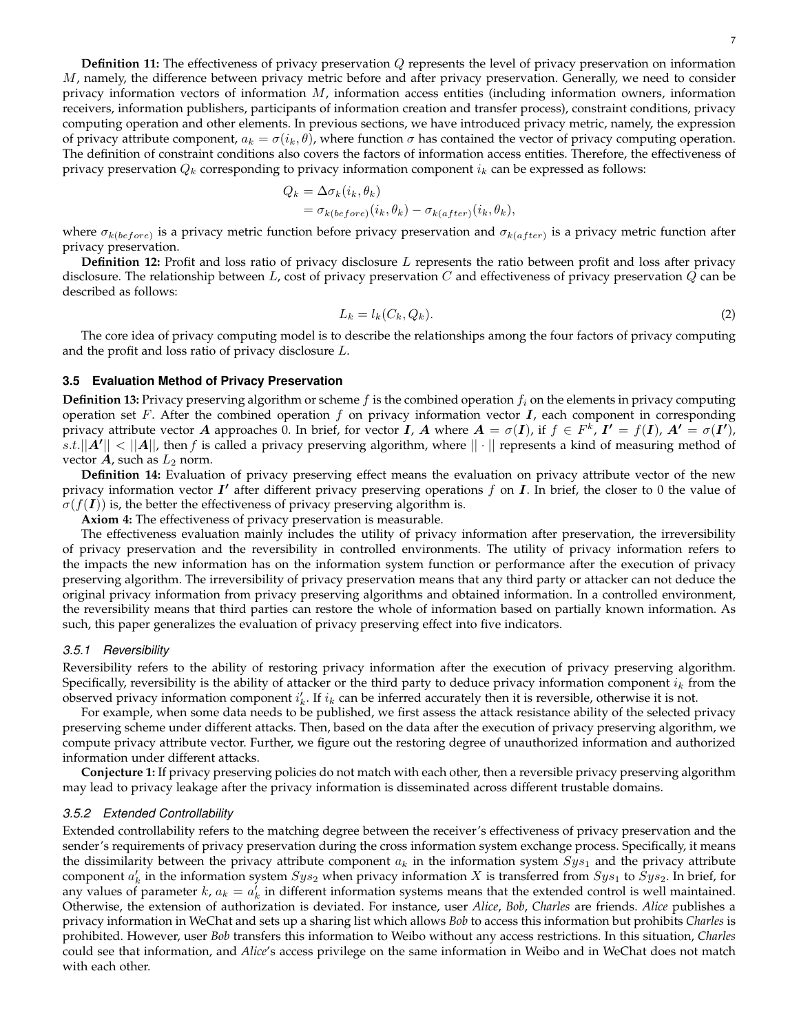**Definition 11:** The effectiveness of privacy preservation Q represents the level of privacy preservation on information  $M$ , namely, the difference between privacy metric before and after privacy preservation. Generally, we need to consider privacy information vectors of information  $M$ , information access entities (including information owners, information receivers, information publishers, participants of information creation and transfer process), constraint conditions, privacy computing operation and other elements. In previous sections, we have introduced privacy metric, namely, the expression of privacy attribute component,  $a_k = \sigma(i_k, \theta)$ , where function  $\sigma$  has contained the vector of privacy computing operation. The definition of constraint conditions also covers the factors of information access entities. Therefore, the effectiveness of privacy preservation  $Q_k$  corresponding to privacy information component  $i_k$  can be expressed as follows:

$$
Q_k = \Delta \sigma_k(i_k, \theta_k)
$$
  
=  $\sigma_{k(before)}(i_k, \theta_k) - \sigma_{k(after)}(i_k, \theta_k),$ 

where  $\sigma_{k(before)}$  is a privacy metric function before privacy preservation and  $\sigma_{k(after)}$  is a privacy metric function after privacy preservation.

**Definition 12:** Profit and loss ratio of privacy disclosure L represents the ratio between profit and loss after privacy disclosure. The relationship between L, cost of privacy preservation C and effectiveness of privacy preservation  $Q$  can be described as follows:

$$
L_k = l_k(C_k, Q_k). \tag{2}
$$

The core idea of privacy computing model is to describe the relationships among the four factors of privacy computing and the profit and loss ratio of privacy disclosure L.

## **3.5 Evaluation Method of Privacy Preservation**

**Definition 13:** Privacy preserving algorithm or scheme  $f$  is the combined operation  $f_i$  on the elements in privacy computing operation set  $F$ . After the combined operation  $f$  on privacy information vector  $I$ , each component in corresponding privacy attribute vector  $A$  approaches 0. In brief, for vector  $I$ ,  $A$  where  $A = \sigma(I)$ , if  $f \in F^k$ ,  $I' = f(I)$ ,  $A' = \sigma(I')$ ,  $[s.t.||A'|| < ||A||$ , then  $f$  is called a privacy preserving algorithm, where  $||\cdot||$  represents a kind of measuring method of vector  $\boldsymbol{A}$ , such as  $L_2$  norm.

**Definition 14:** Evaluation of privacy preserving effect means the evaluation on privacy attribute vector of the new privacy information vector  $I'$  after different privacy preserving operations  $f$  on  $I$ . In brief, the closer to 0 the value of  $\sigma(f(I))$  is, the better the effectiveness of privacy preserving algorithm is.

**Axiom 4:** The effectiveness of privacy preservation is measurable.

The effectiveness evaluation mainly includes the utility of privacy information after preservation, the irreversibility of privacy preservation and the reversibility in controlled environments. The utility of privacy information refers to the impacts the new information has on the information system function or performance after the execution of privacy preserving algorithm. The irreversibility of privacy preservation means that any third party or attacker can not deduce the original privacy information from privacy preserving algorithms and obtained information. In a controlled environment, the reversibility means that third parties can restore the whole of information based on partially known information. As such, this paper generalizes the evaluation of privacy preserving effect into five indicators.

## *3.5.1 Reversibility*

Reversibility refers to the ability of restoring privacy information after the execution of privacy preserving algorithm. Specifically, reversibility is the ability of attacker or the third party to deduce privacy information component  $i_k$  from the observed privacy information component  $i'_k$ . If  $i_k$  can be inferred accurately then it is reversible, otherwise it is not.

For example, when some data needs to be published, we first assess the attack resistance ability of the selected privacy preserving scheme under different attacks. Then, based on the data after the execution of privacy preserving algorithm, we compute privacy attribute vector. Further, we figure out the restoring degree of unauthorized information and authorized information under different attacks.

**Conjecture 1:** If privacy preserving policies do not match with each other, then a reversible privacy preserving algorithm may lead to privacy leakage after the privacy information is disseminated across different trustable domains.

#### *3.5.2 Extended Controllability*

Extended controllability refers to the matching degree between the receiver's effectiveness of privacy preservation and the sender's requirements of privacy preservation during the cross information system exchange process. Specifically, it means the dissimilarity between the privacy attribute component  $a_k$  in the information system  $Sys_1$  and the privacy attribute component  $a'_k$  in the information system  $Sys_2$  when privacy information X is transferred from  $Sys_1$  to  $\tilde{S}ys_2$ . In brief, for any values of parameter  $k$ ,  $a_k = a'_k$  in different information systems means that the extended control is well maintained. Otherwise, the extension of authorization is deviated. For instance, user *Alice*, *Bob*, *Charles* are friends. *Alice* publishes a privacy information in WeChat and sets up a sharing list which allows *Bob* to access this information but prohibits *Charles* is prohibited. However, user *Bob* transfers this information to Weibo without any access restrictions. In this situation, *Charles* could see that information, and *Alice*'s access privilege on the same information in Weibo and in WeChat does not match with each other.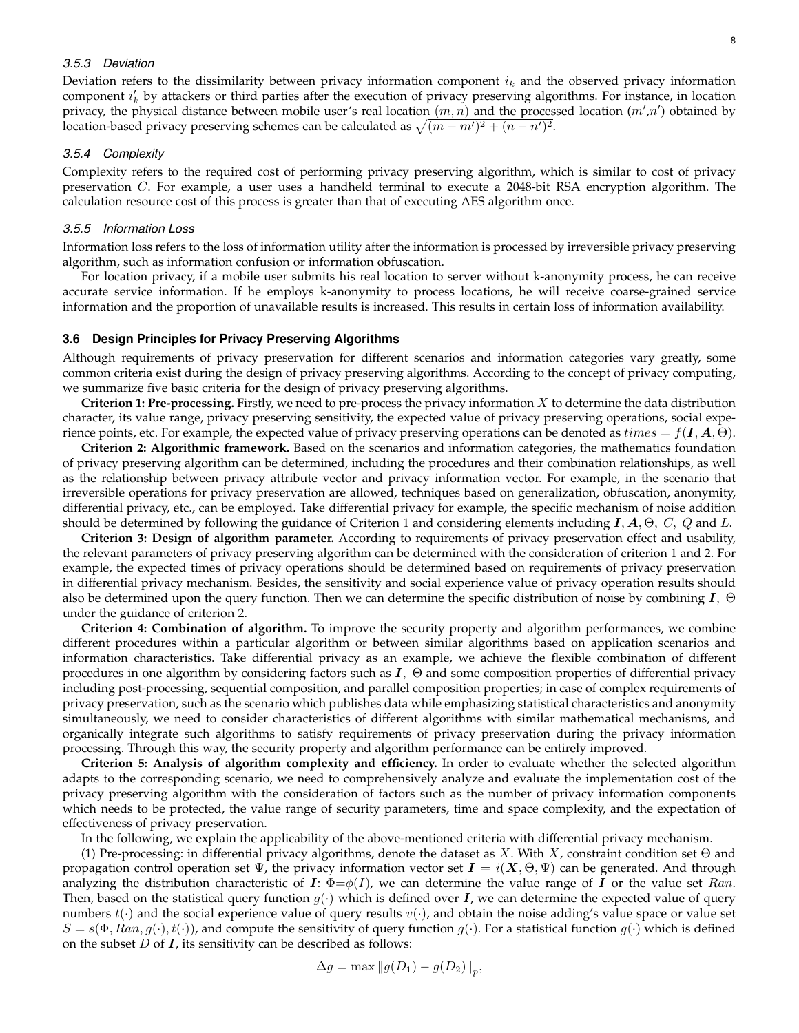## *3.5.3 Deviation*

Deviation refers to the dissimilarity between privacy information component  $i_k$  and the observed privacy information component  $i'_k$  by attackers or third parties after the execution of privacy preserving algorithms. For instance, in location privacy, the physical distance between mobile user's real location  $(m, n)$  and the processed location  $(m', n')$  obtained by location-based privacy preserving schemes can be calculated as  $\sqrt{(m - m')^2 + (n - n')^2}$ .

#### *3.5.4 Complexity*

Complexity refers to the required cost of performing privacy preserving algorithm, which is similar to cost of privacy preservation C. For example, a user uses a handheld terminal to execute a 2048-bit RSA encryption algorithm. The calculation resource cost of this process is greater than that of executing AES algorithm once.

## *3.5.5 Information Loss*

Information loss refers to the loss of information utility after the information is processed by irreversible privacy preserving algorithm, such as information confusion or information obfuscation.

For location privacy, if a mobile user submits his real location to server without k-anonymity process, he can receive accurate service information. If he employs k-anonymity to process locations, he will receive coarse-grained service information and the proportion of unavailable results is increased. This results in certain loss of information availability.

#### **3.6 Design Principles for Privacy Preserving Algorithms**

Although requirements of privacy preservation for different scenarios and information categories vary greatly, some common criteria exist during the design of privacy preserving algorithms. According to the concept of privacy computing, we summarize five basic criteria for the design of privacy preserving algorithms.

**Criterion 1: Pre-processing.** Firstly, we need to pre-process the privacy information X to determine the data distribution character, its value range, privacy preserving sensitivity, the expected value of privacy preserving operations, social experience points, etc. For example, the expected value of privacy preserving operations can be denoted as  $times = f(I, A, \Theta)$ .

**Criterion 2: Algorithmic framework.** Based on the scenarios and information categories, the mathematics foundation of privacy preserving algorithm can be determined, including the procedures and their combination relationships, as well as the relationship between privacy attribute vector and privacy information vector. For example, in the scenario that irreversible operations for privacy preservation are allowed, techniques based on generalization, obfuscation, anonymity, differential privacy, etc., can be employed. Take differential privacy for example, the specific mechanism of noise addition should be determined by following the guidance of Criterion 1 and considering elements including  $I, A, \Theta, C, Q$  and L.

**Criterion 3: Design of algorithm parameter.** According to requirements of privacy preservation effect and usability, the relevant parameters of privacy preserving algorithm can be determined with the consideration of criterion 1 and 2. For example, the expected times of privacy operations should be determined based on requirements of privacy preservation in differential privacy mechanism. Besides, the sensitivity and social experience value of privacy operation results should also be determined upon the query function. Then we can determine the specific distribution of noise by combining  $I$ ,  $\Theta$ under the guidance of criterion 2.

**Criterion 4: Combination of algorithm.** To improve the security property and algorithm performances, we combine different procedures within a particular algorithm or between similar algorithms based on application scenarios and information characteristics. Take differential privacy as an example, we achieve the flexible combination of different procedures in one algorithm by considering factors such as  $I$ ,  $\Theta$  and some composition properties of differential privacy including post-processing, sequential composition, and parallel composition properties; in case of complex requirements of privacy preservation, such as the scenario which publishes data while emphasizing statistical characteristics and anonymity simultaneously, we need to consider characteristics of different algorithms with similar mathematical mechanisms, and organically integrate such algorithms to satisfy requirements of privacy preservation during the privacy information processing. Through this way, the security property and algorithm performance can be entirely improved.

**Criterion 5: Analysis of algorithm complexity and efficiency.** In order to evaluate whether the selected algorithm adapts to the corresponding scenario, we need to comprehensively analyze and evaluate the implementation cost of the privacy preserving algorithm with the consideration of factors such as the number of privacy information components which needs to be protected, the value range of security parameters, time and space complexity, and the expectation of effectiveness of privacy preservation.

In the following, we explain the applicability of the above-mentioned criteria with differential privacy mechanism.

(1) Pre-processing: in differential privacy algorithms, denote the dataset as X. With X, constraint condition set  $\Theta$  and propagation control operation set  $\Psi$ , the privacy information vector set  $I = i(X, \Theta, \Psi)$  can be generated. And through analyzing the distribution characteristic of I:  $\Phi = \phi(I)$ , we can determine the value range of I or the value set Ran. Then, based on the statistical query function  $g(\cdot)$  which is defined over **I**, we can determine the expected value of query numbers  $t(\cdot)$  and the social experience value of query results  $v(\cdot)$ , and obtain the noise adding's value space or value set  $S = s(\Phi, Ran, g(\cdot), t(\cdot))$ , and compute the sensitivity of query function  $g(\cdot)$ . For a statistical function  $g(\cdot)$  which is defined on the subset  $D$  of  $\bm{I}$ , its sensitivity can be described as follows: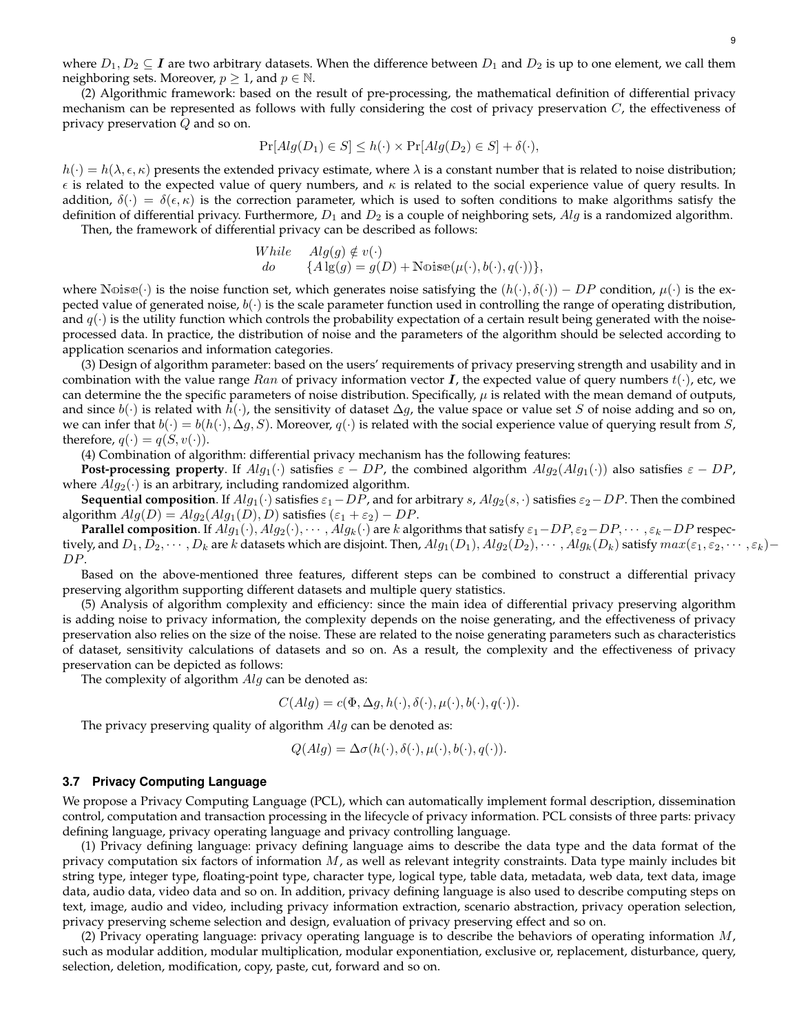where  $D_1, D_2 \subseteq I$  are two arbitrary datasets. When the difference between  $D_1$  and  $D_2$  is up to one element, we call them neighboring sets. Moreover,  $p \geq 1$ , and  $p \in \mathbb{N}$ .

(2) Algorithmic framework: based on the result of pre-processing, the mathematical definition of differential privacy mechanism can be represented as follows with fully considering the cost of privacy preservation  $C$ , the effectiveness of privacy preservation Q and so on.

$$
\Pr[Alg(D_1) \in S] \le h(\cdot) \times \Pr[Alg(D_2) \in S] + \delta(\cdot),
$$

 $h(\cdot) = h(\lambda, \epsilon, \kappa)$  presents the extended privacy estimate, where  $\lambda$  is a constant number that is related to noise distribution;  $\epsilon$  is related to the expected value of query numbers, and  $\kappa$  is related to the social experience value of query results. In addition,  $\delta(\cdot) = \delta(\epsilon, \kappa)$  is the correction parameter, which is used to soften conditions to make algorithms satisfy the definition of differential privacy. Furthermore,  $D_1$  and  $D_2$  is a couple of neighboring sets, Alg is a randomized algorithm.

Then, the framework of differential privacy can be described as follows:

While 
$$
Alg(g) \notin v(\cdot)
$$
  
do  $\{Alg(g) = g(D) + \text{Noise}(\mu(\cdot), b(\cdot), q(\cdot))\},$ 

where Nois $\mathfrak{se}(\cdot)$  is the noise function set, which generates noise satisfying the  $(h(\cdot), \delta(\cdot)) - DP$  condition,  $\mu(\cdot)$  is the expected value of generated noise,  $b(\cdot)$  is the scale parameter function used in controlling the range of operating distribution, and  $q(\cdot)$  is the utility function which controls the probability expectation of a certain result being generated with the noiseprocessed data. In practice, the distribution of noise and the parameters of the algorithm should be selected according to application scenarios and information categories.

(3) Design of algorithm parameter: based on the users' requirements of privacy preserving strength and usability and in combination with the value range Ran of privacy information vector  $I$ , the expected value of query numbers  $t(\cdot)$ , etc, we can determine the the specific parameters of noise distribution. Specifically,  $\mu$  is related with the mean demand of outputs, and since  $b(\cdot)$  is related with  $h(\cdot)$ , the sensitivity of dataset  $\Delta g$ , the value space or value set S of noise adding and so on, we can infer that  $b(\cdot) = b(h(\cdot), \Delta g, S)$ . Moreover,  $q(\cdot)$  is related with the social experience value of querying result from S, therefore,  $q(\cdot) = q(S, v(\cdot))$ .

(4) Combination of algorithm: differential privacy mechanism has the following features:

**Post-processing property**. If  $Alg_1(\cdot)$  satisfies  $\varepsilon - DP$ , the combined algorithm  $Alg_2(Alg_1(\cdot))$  also satisfies  $\varepsilon - DP$ , where  $Alg_2(\cdot)$  is an arbitrary, including randomized algorithm.

**Sequential composition**. If  $Alg_1(\cdot)$  satisfies  $\varepsilon_1$ −DP, and for arbitrary s,  $Alg_2(s, \cdot)$  satisfies  $\varepsilon_2$ −DP. Then the combined algorithm  $Alg(D) = Alg_2(Alg_1(D), D)$  satisfies  $(\varepsilon_1 + \varepsilon_2) - DP$ .

**Parallel composition**. If  $Alg_1(\cdot), Alg_2(\cdot), \cdots, Alg_k(\cdot)$  are k algorithms that satisfy  $\varepsilon_1-DP, \varepsilon_2-DP, \cdots, \varepsilon_k-DP$  respectively, and  $D_1, D_2, \cdots, D_k$  are k datasets which are disjoint. Then,  $Alg_1(D_1), Alg_2(D_2), \cdots, Alg_k(D_k)$  satisfy  $max(\varepsilon_1, \varepsilon_2, \cdots, \varepsilon_k)$ DP.

Based on the above-mentioned three features, different steps can be combined to construct a differential privacy preserving algorithm supporting different datasets and multiple query statistics.

(5) Analysis of algorithm complexity and efficiency: since the main idea of differential privacy preserving algorithm is adding noise to privacy information, the complexity depends on the noise generating, and the effectiveness of privacy preservation also relies on the size of the noise. These are related to the noise generating parameters such as characteristics of dataset, sensitivity calculations of datasets and so on. As a result, the complexity and the effectiveness of privacy preservation can be depicted as follows:

The complexity of algorithm  $Alg$  can be denoted as:

$$
C(Alg) = c(\Phi, \Delta g, h(\cdot), \delta(\cdot), \mu(\cdot), b(\cdot), q(\cdot)).
$$

The privacy preserving quality of algorithm  $Alg$  can be denoted as:

$$
Q(Alg) = \Delta \sigma(h(\cdot), \delta(\cdot), \mu(\cdot), b(\cdot), q(\cdot)).
$$

#### **3.7 Privacy Computing Language**

We propose a Privacy Computing Language (PCL), which can automatically implement formal description, dissemination control, computation and transaction processing in the lifecycle of privacy information. PCL consists of three parts: privacy defining language, privacy operating language and privacy controlling language.

(1) Privacy defining language: privacy defining language aims to describe the data type and the data format of the privacy computation six factors of information  $M$ , as well as relevant integrity constraints. Data type mainly includes bit string type, integer type, floating-point type, character type, logical type, table data, metadata, web data, text data, image data, audio data, video data and so on. In addition, privacy defining language is also used to describe computing steps on text, image, audio and video, including privacy information extraction, scenario abstraction, privacy operation selection, privacy preserving scheme selection and design, evaluation of privacy preserving effect and so on.

(2) Privacy operating language: privacy operating language is to describe the behaviors of operating information  $M$ , such as modular addition, modular multiplication, modular exponentiation, exclusive or, replacement, disturbance, query, selection, deletion, modification, copy, paste, cut, forward and so on.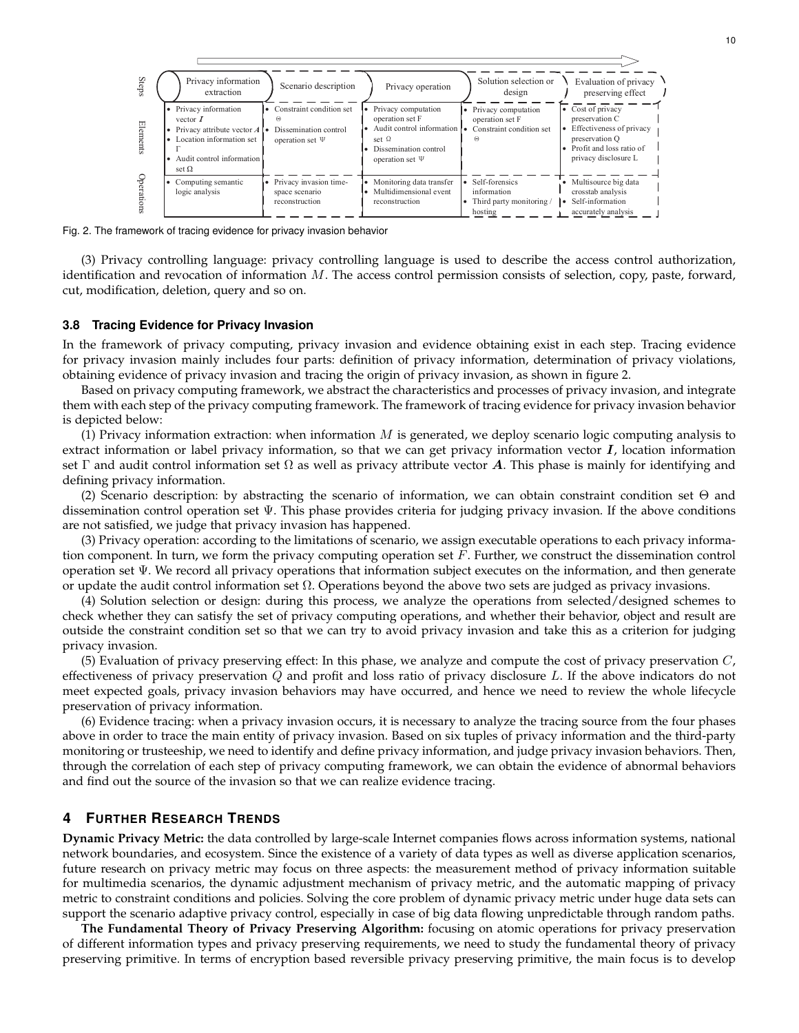

Fig. 2. The framework of tracing evidence for privacy invasion behavior

(3) Privacy controlling language: privacy controlling language is used to describe the access control authorization, identification and revocation of information M. The access control permission consists of selection, copy, paste, forward, cut, modification, deletion, query and so on.

#### **3.8 Tracing Evidence for Privacy Invasion**

In the framework of privacy computing, privacy invasion and evidence obtaining exist in each step. Tracing evidence for privacy invasion mainly includes four parts: definition of privacy information, determination of privacy violations, obtaining evidence of privacy invasion and tracing the origin of privacy invasion, as shown in figure 2.

Based on privacy computing framework, we abstract the characteristics and processes of privacy invasion, and integrate them with each step of the privacy computing framework. The framework of tracing evidence for privacy invasion behavior is depicted below:

(1) Privacy information extraction: when information  $M$  is generated, we deploy scenario logic computing analysis to extract information or label privacy information, so that we can get privacy information vector  $I$ , location information set Γ and audit control information set Ω as well as privacy attribute vector A. This phase is mainly for identifying and defining privacy information.

(2) Scenario description: by abstracting the scenario of information, we can obtain constraint condition set Θ and dissemination control operation set Ψ. This phase provides criteria for judging privacy invasion. If the above conditions are not satisfied, we judge that privacy invasion has happened.

(3) Privacy operation: according to the limitations of scenario, we assign executable operations to each privacy information component. In turn, we form the privacy computing operation set  $F$ . Further, we construct the dissemination control operation set Ψ. We record all privacy operations that information subject executes on the information, and then generate or update the audit control information set Ω. Operations beyond the above two sets are judged as privacy invasions.

(4) Solution selection or design: during this process, we analyze the operations from selected/designed schemes to check whether they can satisfy the set of privacy computing operations, and whether their behavior, object and result are outside the constraint condition set so that we can try to avoid privacy invasion and take this as a criterion for judging privacy invasion.

(5) Evaluation of privacy preserving effect: In this phase, we analyze and compute the cost of privacy preservation  $C$ , effectiveness of privacy preservation  $Q$  and profit and loss ratio of privacy disclosure  $L$ . If the above indicators do not meet expected goals, privacy invasion behaviors may have occurred, and hence we need to review the whole lifecycle preservation of privacy information.

(6) Evidence tracing: when a privacy invasion occurs, it is necessary to analyze the tracing source from the four phases above in order to trace the main entity of privacy invasion. Based on six tuples of privacy information and the third-party monitoring or trusteeship, we need to identify and define privacy information, and judge privacy invasion behaviors. Then, through the correlation of each step of privacy computing framework, we can obtain the evidence of abnormal behaviors and find out the source of the invasion so that we can realize evidence tracing.

### **4 FURTHER RESEARCH TRENDS**

**Dynamic Privacy Metric:** the data controlled by large-scale Internet companies flows across information systems, national network boundaries, and ecosystem. Since the existence of a variety of data types as well as diverse application scenarios, future research on privacy metric may focus on three aspects: the measurement method of privacy information suitable for multimedia scenarios, the dynamic adjustment mechanism of privacy metric, and the automatic mapping of privacy metric to constraint conditions and policies. Solving the core problem of dynamic privacy metric under huge data sets can support the scenario adaptive privacy control, especially in case of big data flowing unpredictable through random paths.

**The Fundamental Theory of Privacy Preserving Algorithm:** focusing on atomic operations for privacy preservation of different information types and privacy preserving requirements, we need to study the fundamental theory of privacy preserving primitive. In terms of encryption based reversible privacy preserving primitive, the main focus is to develop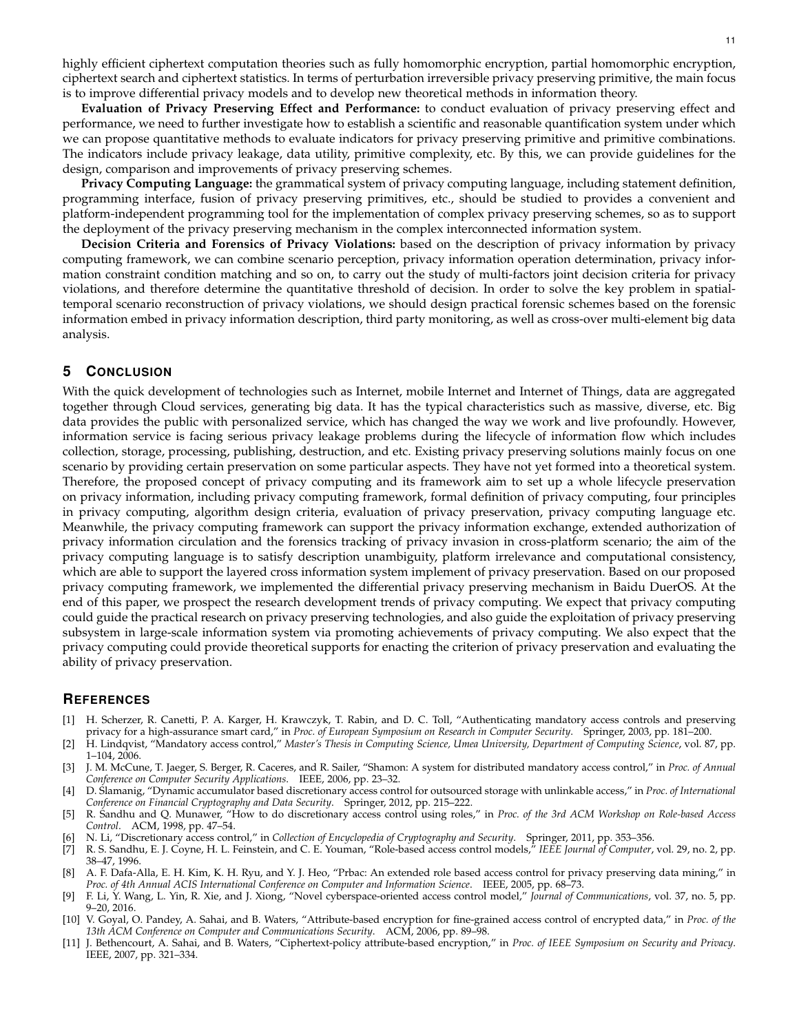highly efficient ciphertext computation theories such as fully homomorphic encryption, partial homomorphic encryption, ciphertext search and ciphertext statistics. In terms of perturbation irreversible privacy preserving primitive, the main focus is to improve differential privacy models and to develop new theoretical methods in information theory.

**Evaluation of Privacy Preserving Effect and Performance:** to conduct evaluation of privacy preserving effect and performance, we need to further investigate how to establish a scientific and reasonable quantification system under which we can propose quantitative methods to evaluate indicators for privacy preserving primitive and primitive combinations. The indicators include privacy leakage, data utility, primitive complexity, etc. By this, we can provide guidelines for the design, comparison and improvements of privacy preserving schemes.

**Privacy Computing Language:** the grammatical system of privacy computing language, including statement definition, programming interface, fusion of privacy preserving primitives, etc., should be studied to provides a convenient and platform-independent programming tool for the implementation of complex privacy preserving schemes, so as to support the deployment of the privacy preserving mechanism in the complex interconnected information system.

**Decision Criteria and Forensics of Privacy Violations:** based on the description of privacy information by privacy computing framework, we can combine scenario perception, privacy information operation determination, privacy information constraint condition matching and so on, to carry out the study of multi-factors joint decision criteria for privacy violations, and therefore determine the quantitative threshold of decision. In order to solve the key problem in spatialtemporal scenario reconstruction of privacy violations, we should design practical forensic schemes based on the forensic information embed in privacy information description, third party monitoring, as well as cross-over multi-element big data analysis.

# **5 CONCLUSION**

With the quick development of technologies such as Internet, mobile Internet and Internet of Things, data are aggregated together through Cloud services, generating big data. It has the typical characteristics such as massive, diverse, etc. Big data provides the public with personalized service, which has changed the way we work and live profoundly. However, information service is facing serious privacy leakage problems during the lifecycle of information flow which includes collection, storage, processing, publishing, destruction, and etc. Existing privacy preserving solutions mainly focus on one scenario by providing certain preservation on some particular aspects. They have not yet formed into a theoretical system. Therefore, the proposed concept of privacy computing and its framework aim to set up a whole lifecycle preservation on privacy information, including privacy computing framework, formal definition of privacy computing, four principles in privacy computing, algorithm design criteria, evaluation of privacy preservation, privacy computing language etc. Meanwhile, the privacy computing framework can support the privacy information exchange, extended authorization of privacy information circulation and the forensics tracking of privacy invasion in cross-platform scenario; the aim of the privacy computing language is to satisfy description unambiguity, platform irrelevance and computational consistency, which are able to support the layered cross information system implement of privacy preservation. Based on our proposed privacy computing framework, we implemented the differential privacy preserving mechanism in Baidu DuerOS. At the end of this paper, we prospect the research development trends of privacy computing. We expect that privacy computing could guide the practical research on privacy preserving technologies, and also guide the exploitation of privacy preserving subsystem in large-scale information system via promoting achievements of privacy computing. We also expect that the privacy computing could provide theoretical supports for enacting the criterion of privacy preservation and evaluating the ability of privacy preservation.

#### **REFERENCES**

- [1] H. Scherzer, R. Canetti, P. A. Karger, H. Krawczyk, T. Rabin, and D. C. Toll, "Authenticating mandatory access controls and preserving privacy for a high-assurance smart card," in *Proc. of European Symposium on Research in Computer Security*. Springer, 2003, pp. 181–200.
- [2] H. Lindqvist, "Mandatory access control," *Master's Thesis in Computing Science, Umea University, Department of Computing Science*, vol. 87, pp. 1–104, 2006.
- [3] J. M. McCune, T. Jaeger, S. Berger, R. Caceres, and R. Sailer, "Shamon: A system for distributed mandatory access control," in *Proc. of Annual Conference on Computer Security Applications*. IEEE, 2006, pp. 23–32.
- [4] D. Slamanig, "Dynamic accumulator based discretionary access control for outsourced storage with unlinkable access," in *Proc. of International* Conference on Financial Cryptography and Data Security. Springer, 2012, pp. 215-222.
- [5] R. Sandhu and Q. Munawer, "How to do discretionary access control using roles," in *Proc. of the 3rd ACM Workshop on Role-based Access Control*. ACM, 1998, pp. 47–54.
- [6] N. Li, "Discretionary access control," in *Collection of Encyclopedia of Cryptography and Security*. Springer, 2011, pp. 353–356.
- [7] R. S. Sandhu, E. J. Coyne, H. L. Feinstein, and C. E. Youman, "Role-based access control models," *IEEE Journal of Computer*, vol. 29, no. 2, pp. 38–47, 1996.
- [8] A. F. Dafa-Alla, E. H. Kim, K. H. Ryu, and Y. J. Heo, "Prbac: An extended role based access control for privacy preserving data mining," in *Proc. of 4th Annual ACIS International Conference on Computer and Information Science*. IEEE, 2005, pp. 68–73.
- [9] F. Li, Y. Wang, L. Yin, R. Xie, and J. Xiong, "Novel cyberspace-oriented access control model," *Journal of Communications*, vol. 37, no. 5, pp. 9–20, 2016.
- [10] V. Goyal, O. Pandey, A. Sahai, and B. Waters, "Attribute-based encryption for fine-grained access control of encrypted data," in *Proc. of the 13th ACM Conference on Computer and Communications Security*. ACM, 2006, pp. 89–98.
- [11] J. Bethencourt, A. Sahai, and B. Waters, "Ciphertext-policy attribute-based encryption," in *Proc. of IEEE Symposium on Security and Privacy*. IEEE, 2007, pp. 321–334.